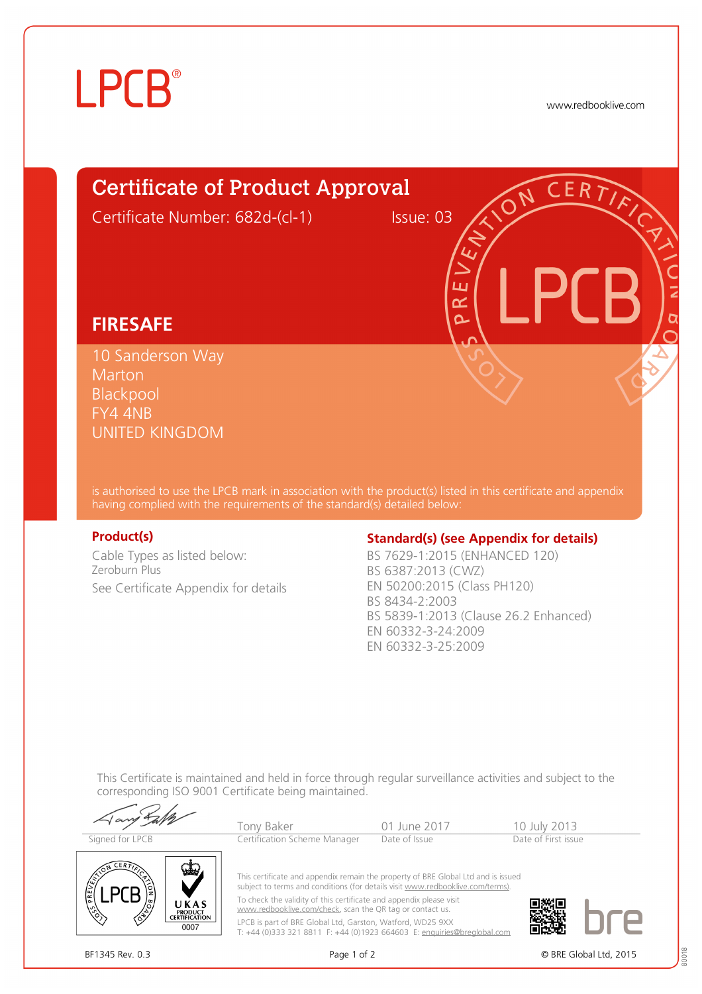# **LPCB**

www.redbooklive.com

# Certificate of Product Approval Certificate Number: 682d-(cl-1) Issue: 03

## **FIRESAFE**

10 Sanderson Way **Marton** Blackpool FY4 4NB UNITED KINGDOM

is authorised to use the LPCB mark in association with the product(s) listed in this certificate and appendix having complied with the requirements of the standard(s) detailed below:

Cable Types as listed below: Zeroburn Plus See Certificate Appendix for details

## **Product(s) Conserversity Standard(s)** (see Appendix for details)

ய طح Ò

BS 7629-1:2015 (ENHANCED 120) BS 6387:2013 (CWZ) EN 50200:2015 (Class PH120) BS 8434-2:2003 BS 5839-1:2013 (Clause 26.2 Enhanced) EN 60332-3-24:2009 EN 60332-3-25:2009

This Certificate is maintained and held in force through regular surveillance activities and subject to the corresponding ISO 9001 Certificate being maintained.

Tony Baker 101 June 2017 10 July 2013<br>
Tertification Scheme Manager Date of Issue Date of First issue Signed for LPCB Certification Scheme Manager



This certificate and appendix remain the property of BRE Global Ltd and is issued subject to terms and conditions (for details visit [www.redbooklive.com/terms\).](http://www.redbooklive.com/terms)) To check the validity of this certificate and appendix please visit

[www.redbooklive.com/check,](http://www.redbooklive.com/check) scan the QR tag or contact us. LPCB is part of BRE Global Ltd, Garston, Watford, WD25 9XX T: +44 (0)333 321 8811 F: +44 (0)1923 664603 E: [enquiries@breglobal.com](mailto:enquiries@breglobal.com)